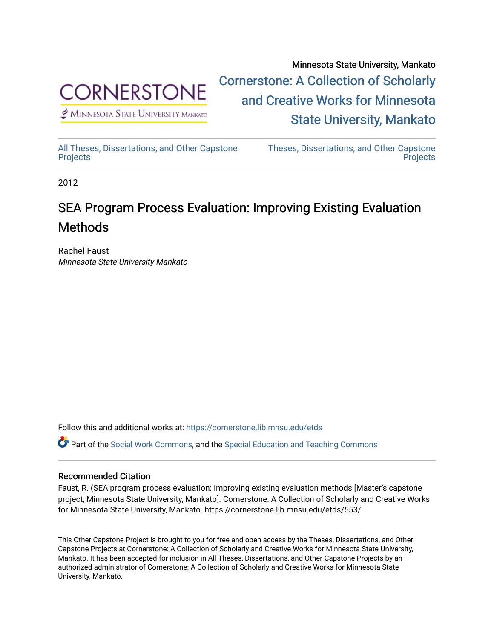

 $<sup>2</sup>$  Minnesota State University Mankato</sup>

Minnesota State University, Mankato [Cornerstone: A Collection of Scholarly](https://cornerstone.lib.mnsu.edu/)  [and Creative Works for Minnesota](https://cornerstone.lib.mnsu.edu/)  [State University, Mankato](https://cornerstone.lib.mnsu.edu/) 

[All Theses, Dissertations, and Other Capstone](https://cornerstone.lib.mnsu.edu/etds)  **[Projects](https://cornerstone.lib.mnsu.edu/etds)** 

[Theses, Dissertations, and Other Capstone](https://cornerstone.lib.mnsu.edu/theses_dissertations-capstone)  **Projects** 

2012

#### SEA Program Process Evaluation: Improving Existing Evaluation Methods

Rachel Faust Minnesota State University Mankato

Follow this and additional works at: [https://cornerstone.lib.mnsu.edu/etds](https://cornerstone.lib.mnsu.edu/etds?utm_source=cornerstone.lib.mnsu.edu%2Fetds%2F553&utm_medium=PDF&utm_campaign=PDFCoverPages) 

Part of the [Social Work Commons](http://network.bepress.com/hgg/discipline/713?utm_source=cornerstone.lib.mnsu.edu%2Fetds%2F553&utm_medium=PDF&utm_campaign=PDFCoverPages), and the [Special Education and Teaching Commons](http://network.bepress.com/hgg/discipline/801?utm_source=cornerstone.lib.mnsu.edu%2Fetds%2F553&utm_medium=PDF&utm_campaign=PDFCoverPages)

#### Recommended Citation

Faust, R. (SEA program process evaluation: Improving existing evaluation methods [Master's capstone project, Minnesota State University, Mankato]. Cornerstone: A Collection of Scholarly and Creative Works for Minnesota State University, Mankato. https://cornerstone.lib.mnsu.edu/etds/553/

This Other Capstone Project is brought to you for free and open access by the Theses, Dissertations, and Other Capstone Projects at Cornerstone: A Collection of Scholarly and Creative Works for Minnesota State University, Mankato. It has been accepted for inclusion in All Theses, Dissertations, and Other Capstone Projects by an authorized administrator of Cornerstone: A Collection of Scholarly and Creative Works for Minnesota State University, Mankato.